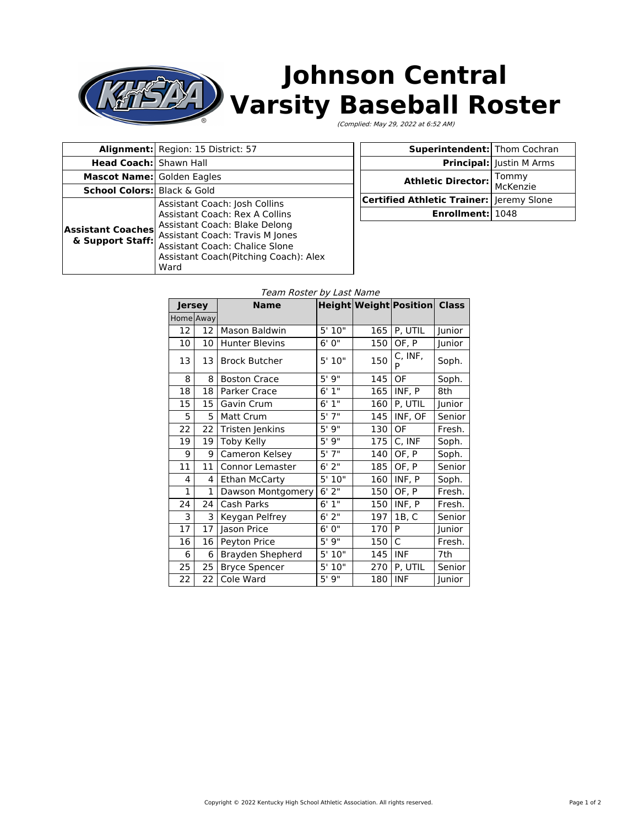## **Johnson Central** У **Varsity Baseball Roster** (Complied: May 29, 2022 at 6:52 AM)

|                                              | Alignment: Region: 15 District: 57                                                                                                                                                                                                           |  |  |
|----------------------------------------------|----------------------------------------------------------------------------------------------------------------------------------------------------------------------------------------------------------------------------------------------|--|--|
| <b>Head Coach:   Shawn Hall</b>              |                                                                                                                                                                                                                                              |  |  |
| <b>Mascot Name: Golden Eagles</b>            |                                                                                                                                                                                                                                              |  |  |
| <b>School Colors:</b> Black & Gold           |                                                                                                                                                                                                                                              |  |  |
| <b>Assistant Coaches</b><br>& Support Staff: | Assistant Coach: Josh Collins<br><b>Assistant Coach: Rex A Collins</b><br>Assistant Coach: Blake Delong<br><b>Assistant Coach: Travis M Jones</b><br><b>Assistant Coach: Chalice Slone</b><br>Assistant Coach (Pitching Coach): Alex<br>Ward |  |  |

| <b>Superintendent:</b> Thom Cochran        |                                 |  |
|--------------------------------------------|---------------------------------|--|
|                                            | <b>Principal:</b> Justin M Arms |  |
| Athletic Director:                         | Tommy<br>McKenzie               |  |
| Certified Athletic Trainer:   Jeremy Slone |                                 |  |
| Enrollment: 1048                           |                                 |  |

## Team Roster by Last Name

| Jersey       |              | <b>Name</b>           |            |     | <b>Height Weight Position Class</b> |        |
|--------------|--------------|-----------------------|------------|-----|-------------------------------------|--------|
| Home Away    |              |                       |            |     |                                     |        |
| 12           | 12           | Mason Baldwin         | 5' 10"     | 165 | P, UTIL                             | Junior |
| 10           | 10           | <b>Hunter Blevins</b> | 6'0''      | 150 | OF, P                               | Junior |
| 13           | 13           | <b>Brock Butcher</b>  | 5'10"      | 150 | C, INF,<br>P                        | Soph.  |
| 8            | 8            | <b>Boston Crace</b>   | 5'9''      | 145 | OF                                  | Soph.  |
| 18           | 18           | Parker Crace          | 6'1''      | 165 | INF, P                              | 8th    |
| 15           | 15           | Gavin Crum            | 6'1''      | 160 | P, UTIL                             | Junior |
| 5            | 5            | Matt Crum             | $5'$ $7''$ | 145 | INF, OF                             | Senior |
| 22           | 22           | Tristen Jenkins       | 5'9''      | 130 | OF                                  | Fresh. |
| 19           | 19           | Toby Kelly            | 5'9''      | 175 | C, INF                              | Soph.  |
| 9            | 9            | Cameron Kelsey        | 5'7''      | 140 | OF, P                               | Soph.  |
| 11           | 11           | Connor Lemaster       | $6'$ 2"    | 185 | OF, P                               | Senior |
| 4            | 4            | <b>Ethan McCarty</b>  | 5'10"      | 160 | INF, P                              | Soph.  |
| $\mathbf{1}$ | $\mathbf{1}$ | Dawson Montgomery     | $6'$ 2"    | 150 | OF, P                               | Fresh. |
| 24           | 24           | Cash Parks            | 6'1''      | 150 | INF, P                              | Fresh. |
| 3            | 3            | Keygan Pelfrey        | 6'2''      | 197 | 1B, C                               | Senior |
| 17           | 17           | Jason Price           | 6'0''      | 170 | P                                   | Junior |
| 16           | 16           | Peyton Price          | 5'9''      | 150 | $\mathsf{C}$                        | Fresh. |
| 6            | 6            | Brayden Shepherd      | 5'10''     | 145 | <b>INF</b>                          | 7th    |
| 25           | 25           | <b>Bryce Spencer</b>  | 5'10"      | 270 | P, UTIL                             | Senior |
| 22           | 22           | Cole Ward             | 5'9''      | 180 | <b>INF</b>                          | Junior |